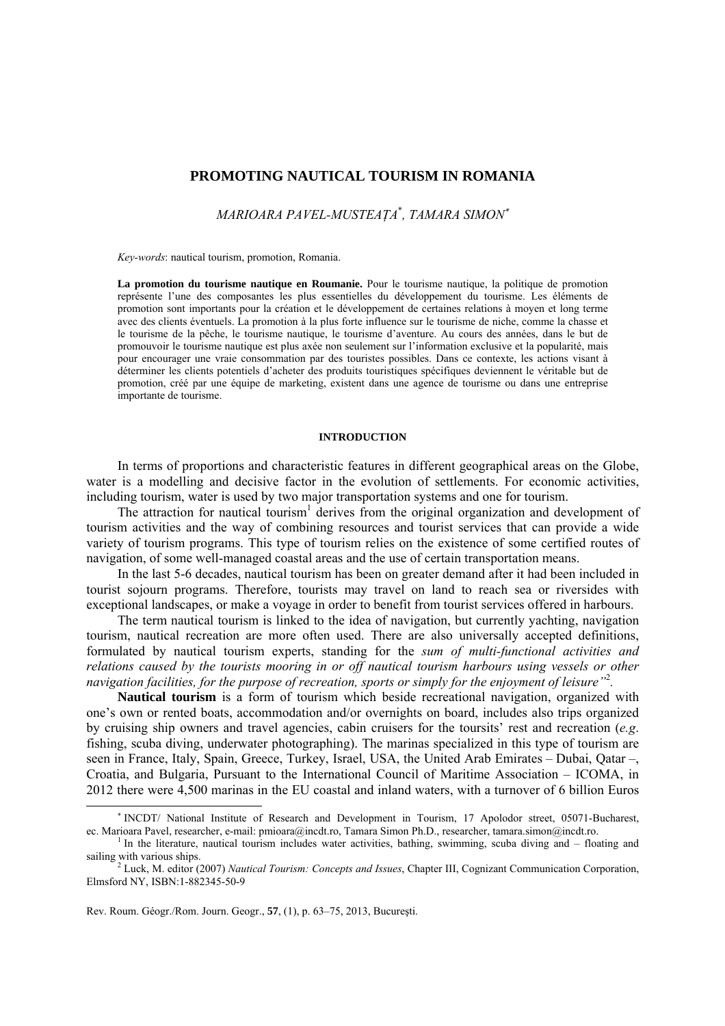# **PROMOTING NAUTICAL TOURISM IN ROMANIA**

*MARIOARA PAVEL-MUSTEAŢA*\* *, TAMARA SIMON*<sup>∗</sup>

*Key-words*: nautical tourism, promotion, Romania.

**La promotion du tourisme nautique en Roumanie.** Pour le tourisme nautique, la politique de promotion représente l'une des composantes les plus essentielles du développement du tourisme. Les éléments de promotion sont importants pour la création et le développement de certaines relations à moyen et long terme avec des clients éventuels. La promotion à la plus forte influence sur le tourisme de niche, comme la chasse et le tourisme de la pêche, le tourisme nautique, le tourisme d'aventure. Au cours des années, dans le but de promouvoir le tourisme nautique est plus axée non seulement sur l'information exclusive et la popularité, mais pour encourager une vraie consommation par des touristes possibles. Dans ce contexte, les actions visant à déterminer les clients potentiels d'acheter des produits touristiques spécifiques deviennent le véritable but de promotion, créé par une équipe de marketing, existent dans une agence de tourisme ou dans une entreprise importante de tourisme.

#### **INTRODUCTION**

In terms of proportions and characteristic features in different geographical areas on the Globe, water is a modelling and decisive factor in the evolution of settlements. For economic activities, including tourism, water is used by two major transportation systems and one for tourism.

The attraction for nautical tourism<sup>1</sup> derives from the original organization and development of tourism activities and the way of combining resources and tourist services that can provide a wide variety of tourism programs. This type of tourism relies on the existence of some certified routes of navigation, of some well-managed coastal areas and the use of certain transportation means.

In the last 5-6 decades, nautical tourism has been on greater demand after it had been included in tourist sojourn programs. Therefore, tourists may travel on land to reach sea or riversides with exceptional landscapes, or make a voyage in order to benefit from tourist services offered in harbours.

The term nautical tourism is linked to the idea of navigation, but currently yachting, navigation tourism, nautical recreation are more often used. There are also universally accepted definitions, formulated by nautical tourism experts, standing for the *sum of multi-functional activities and relations caused by the tourists mooring in or off nautical tourism harbours using vessels or other navigation facilities, for the purpose of recreation, sports or simply for the enjoyment of leisure"*<sup>2</sup> *.* 

**Nautical tourism** is a form of tourism which beside recreational navigation, organized with one's own or rented boats, accommodation and/or overnights on board, includes also trips organized by cruising ship owners and travel agencies, cabin cruisers for the toursits' rest and recreation (*e.g*. fishing, scuba diving, underwater photographing). The marinas specialized in this type of tourism are seen in France, Italy, Spain, Greece, Turkey, Israel, USA, the United Arab Emirates – Dubai, Oatar –, Croatia, and Bulgaria, Pursuant to the International Council of Maritime Association – ICOMA, in 2012 there were 4,500 marinas in the EU coastal and inland waters, with a turnover of 6 billion Euros

Rev. Roum. Géogr./Rom. Journ. Geogr., **57**, (1), p. 63–75, 2013, Bucureşti.

l

<sup>∗</sup> INCDT/ National Institute of Research and Development in Tourism, 17 Apolodor street, 05071-Bucharest, ec. Marioara Pavel, researcher, e-mail: pmioara@incdt.ro, Tamara Simon Ph.D., researcher, tamara.simon@incdt.ro.

In the literature, nautical tourism includes water activities, bathing, swimming, scuba diving and – floating and sailing with various ships.<br><sup>2</sup> Luck, M. editor (2007) *Nautical Tourism: Concepts and Issues*, Chapter III, Cognizant Communication Corporation,

Elmsford NY, ISBN:1-882345-50-9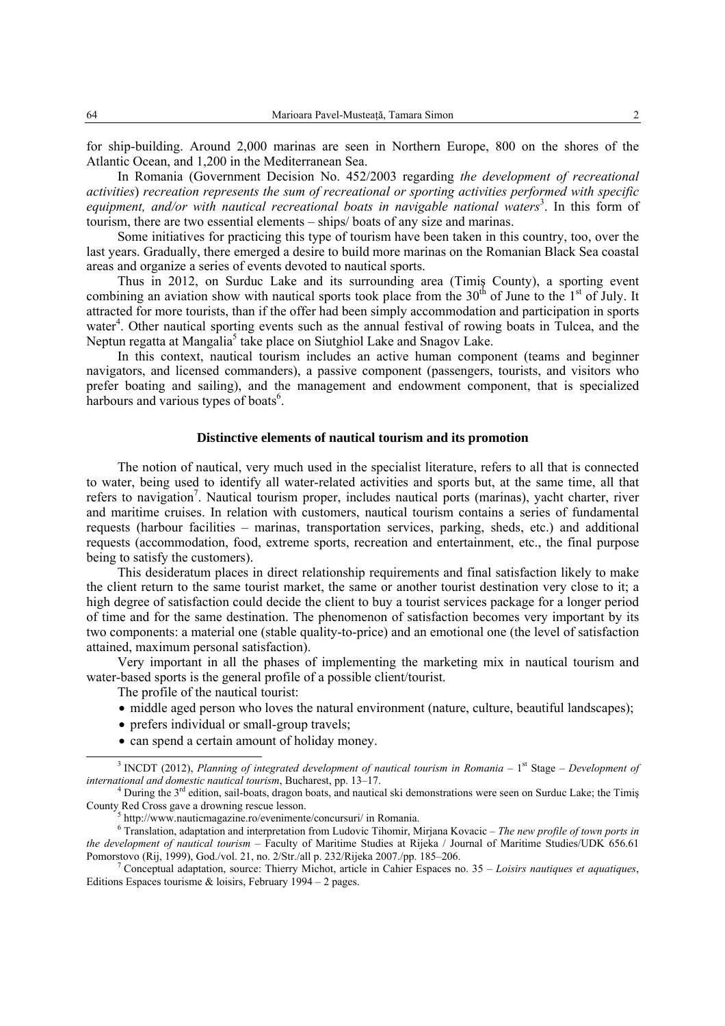for ship-building. Around 2,000 marinas are seen in Northern Europe, 800 on the shores of the Atlantic Ocean, and 1,200 in the Mediterranean Sea.

In Romania (Government Decision No. 452/2003 regarding *the development of recreational activities*) *recreation represents the sum of recreational or sporting activities performed with specific*  equipment, and/or with nautical recreational boats in navigable national waters<sup>3</sup>. In this form of tourism, there are two essential elements – ships/ boats of any size and marinas.

Some initiatives for practicing this type of tourism have been taken in this country, too, over the last years. Gradually, there emerged a desire to build more marinas on the Romanian Black Sea coastal areas and organize a series of events devoted to nautical sports.

Thus in 2012, on Surduc Lake and its surrounding area (Timiş County), a sporting event combining an aviation show with nautical sports took place from the 30<sup>th</sup> of June to the 1<sup>st</sup> of July. It attracted for more tourists, than if the offer had been simply accommodation and participation in sports water<sup>4</sup>. Other nautical sporting events such as the annual festival of rowing boats in Tulcea, and the Neptun regatta at Mangalia<sup>5</sup> take place on Siutghiol Lake and Snagov Lake.

In this context, nautical tourism includes an active human component (teams and beginner navigators, and licensed commanders), a passive component (passengers, tourists, and visitors who prefer boating and sailing), and the management and endowment component, that is specialized harbours and various types of boats<sup>6</sup>.

## **Distinctive elements of nautical tourism and its promotion**

The notion of nautical, very much used in the specialist literature, refers to all that is connected to water, being used to identify all water-related activities and sports but, at the same time, all that refers to navigation<sup>7</sup>. Nautical tourism proper, includes nautical ports (marinas), yacht charter, river and maritime cruises. In relation with customers, nautical tourism contains a series of fundamental requests (harbour facilities – marinas, transportation services, parking, sheds, etc.) and additional requests (accommodation, food, extreme sports, recreation and entertainment, etc., the final purpose being to satisfy the customers).

This desideratum places in direct relationship requirements and final satisfaction likely to make the client return to the same tourist market, the same or another tourist destination very close to it; a high degree of satisfaction could decide the client to buy a tourist services package for a longer period of time and for the same destination. The phenomenon of satisfaction becomes very important by its two components: a material one (stable quality-to-price) and an emotional one (the level of satisfaction attained, maximum personal satisfaction).

Very important in all the phases of implementing the marketing mix in nautical tourism and water-based sports is the general profile of a possible client/tourist.

The profile of the nautical tourist:

- middle aged person who loves the natural environment (nature, culture, beautiful landscapes);
- prefers individual or small-group travels;
- can spend a certain amount of holiday money.

 $\overline{\phantom{a}}$  $^3$  INCDT (2012), *Planning of integrated development of nautical tourism in Romania* –  $1<sup>st</sup>$  Stage – *Development of international and domestic nautical tourism*, Bucharest, pp. 13–17. 4

<sup>&</sup>lt;sup>4</sup> During the  $3<sup>rd</sup>$  edition, sail-boats, dragon boats, and nautical ski demonstrations were seen on Surduc Lake; the Timis County Red Cross gave a drowning rescue lesson.

http://www.nauticmagazine.ro/evenimente/concursuri/ in Romania.

Translation, adaptation and interpretation from Ludovic Tihomir, Mirjana Kovacic – *The new profile of town ports in the development of nautical tourism* – Faculty of Maritime Studies at Rijeka / Journal of Maritime Studies/UDK 656.61 Pomorstovo (Rij, 1999), God./vol. 21, no. 2/Str./all p. 232/Rijeka 2007./pp. 185–206. 7

Conceptual adaptation, source: Thierry Michot, article in Cahier Espaces no. 35 – *Loisirs nautiques et aquatiques*, Editions Espaces tourisme  $\&$  loisirs, February 1994 – 2 pages.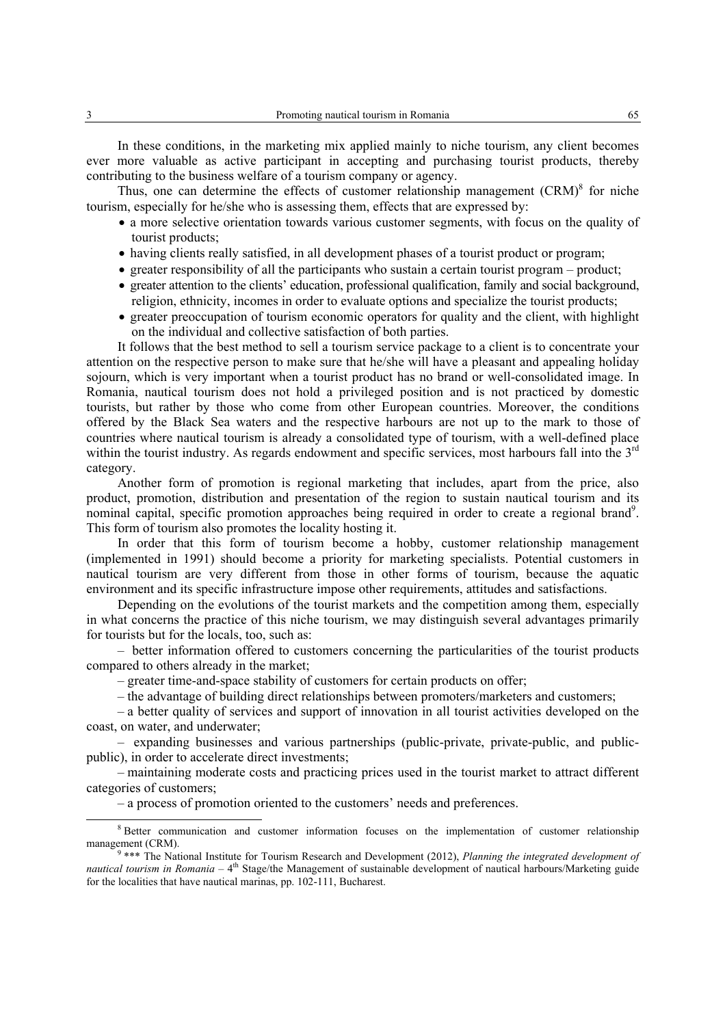In these conditions, in the marketing mix applied mainly to niche tourism, any client becomes ever more valuable as active participant in accepting and purchasing tourist products, thereby contributing to the business welfare of a tourism company or agency.

Thus, one can determine the effects of customer relationship management (CRM)<sup>8</sup> for niche tourism, especially for he/she who is assessing them, effects that are expressed by:

- a more selective orientation towards various customer segments, with focus on the quality of tourist products;
- having clients really satisfied, in all development phases of a tourist product or program;
- greater responsibility of all the participants who sustain a certain tourist program product;
- greater attention to the clients' education, professional qualification, family and social background, religion, ethnicity, incomes in order to evaluate options and specialize the tourist products;
- greater preoccupation of tourism economic operators for quality and the client, with highlight on the individual and collective satisfaction of both parties.

It follows that the best method to sell a tourism service package to a client is to concentrate your attention on the respective person to make sure that he/she will have a pleasant and appealing holiday sojourn, which is very important when a tourist product has no brand or well-consolidated image. In Romania, nautical tourism does not hold a privileged position and is not practiced by domestic tourists, but rather by those who come from other European countries. Moreover, the conditions offered by the Black Sea waters and the respective harbours are not up to the mark to those of countries where nautical tourism is already a consolidated type of tourism, with a well-defined place within the tourist industry. As regards endowment and specific services, most harbours fall into the 3<sup>rd</sup> category.

Another form of promotion is regional marketing that includes, apart from the price, also product, promotion, distribution and presentation of the region to sustain nautical tourism and its nominal capital, specific promotion approaches being required in order to create a regional brand<sup>9</sup>. This form of tourism also promotes the locality hosting it.

In order that this form of tourism become a hobby, customer relationship management (implemented in 1991) should become a priority for marketing specialists. Potential customers in nautical tourism are very different from those in other forms of tourism, because the aquatic environment and its specific infrastructure impose other requirements, attitudes and satisfactions.

Depending on the evolutions of the tourist markets and the competition among them, especially in what concerns the practice of this niche tourism, we may distinguish several advantages primarily for tourists but for the locals, too, such as:

– better information offered to customers concerning the particularities of the tourist products compared to others already in the market;

– greater time-and-space stability of customers for certain products on offer;

– the advantage of building direct relationships between promoters/marketers and customers;

– a better quality of services and support of innovation in all tourist activities developed on the coast, on water, and underwater;

– expanding businesses and various partnerships (public-private, private-public, and publicpublic), in order to accelerate direct investments;

– maintaining moderate costs and practicing prices used in the tourist market to attract different categories of customers;

– a process of promotion oriented to the customers' needs and preferences.

 <sup>8</sup> <sup>8</sup> Better communication and customer information focuses on the implementation of customer relationship management (CRM).

<sup>&</sup>lt;sup>9</sup> \*\*\* The National Institute for Tourism Research and Development (2012), *Planning the integrated development of nautical tourism in Romania* – 4<sup>th</sup> Stage/the Management of sustainable development of nautical harbours/Marketing guide for the localities that have nautical marinas, pp. 102-111, Bucharest.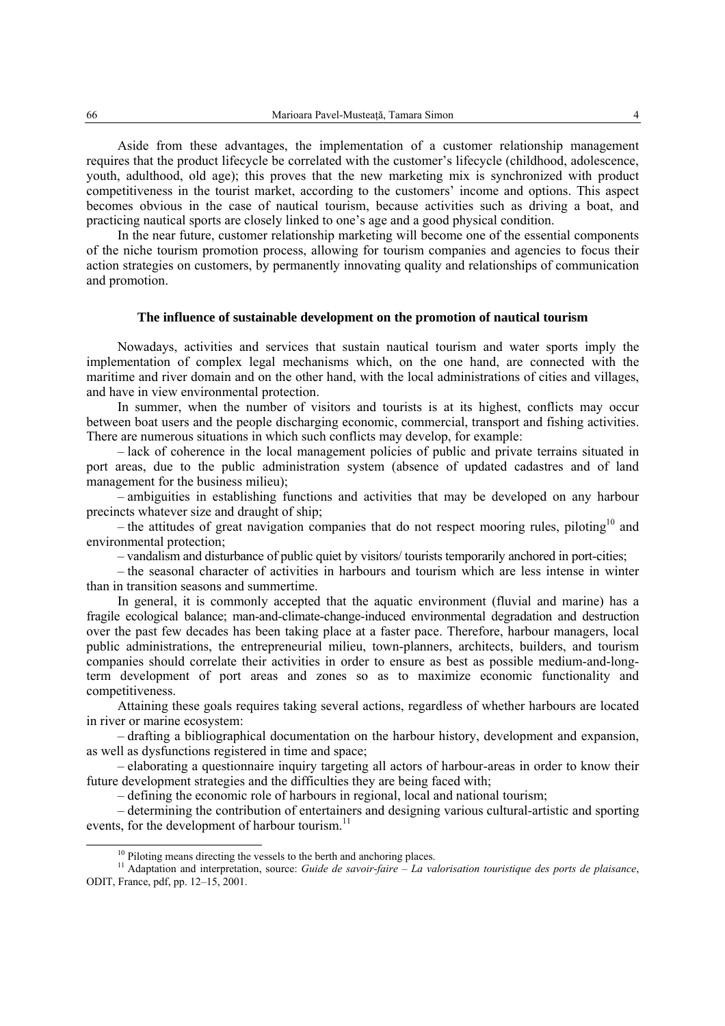Aside from these advantages, the implementation of a customer relationship management requires that the product lifecycle be correlated with the customer's lifecycle (childhood, adolescence, youth, adulthood, old age); this proves that the new marketing mix is synchronized with product competitiveness in the tourist market, according to the customers' income and options. This aspect becomes obvious in the case of nautical tourism, because activities such as driving a boat, and practicing nautical sports are closely linked to one's age and a good physical condition.

In the near future, customer relationship marketing will become one of the essential components of the niche tourism promotion process, allowing for tourism companies and agencies to focus their action strategies on customers, by permanently innovating quality and relationships of communication and promotion.

#### **The influence of sustainable development on the promotion of nautical tourism**

Nowadays, activities and services that sustain nautical tourism and water sports imply the implementation of complex legal mechanisms which, on the one hand, are connected with the maritime and river domain and on the other hand, with the local administrations of cities and villages, and have in view environmental protection.

In summer, when the number of visitors and tourists is at its highest, conflicts may occur between boat users and the people discharging economic, commercial, transport and fishing activities. There are numerous situations in which such conflicts may develop, for example:

– lack of coherence in the local management policies of public and private terrains situated in port areas, due to the public administration system (absence of updated cadastres and of land management for the business milieu);

– ambiguities in establishing functions and activities that may be developed on any harbour precincts whatever size and draught of ship;

– the attitudes of great navigation companies that do not respect mooring rules, piloting<sup>10</sup> and environmental protection;

– vandalism and disturbance of public quiet by visitors/ tourists temporarily anchored in port-cities;

– the seasonal character of activities in harbours and tourism which are less intense in winter than in transition seasons and summertime.

In general, it is commonly accepted that the aquatic environment (fluvial and marine) has a fragile ecological balance; man-and-climate-change-induced environmental degradation and destruction over the past few decades has been taking place at a faster pace. Therefore, harbour managers, local public administrations, the entrepreneurial milieu, town-planners, architects, builders, and tourism companies should correlate their activities in order to ensure as best as possible medium-and-longterm development of port areas and zones so as to maximize economic functionality and competitiveness.

Attaining these goals requires taking several actions, regardless of whether harbours are located in river or marine ecosystem:

– drafting a bibliographical documentation on the harbour history, development and expansion, as well as dysfunctions registered in time and space;

– elaborating a questionnaire inquiry targeting all actors of harbour-areas in order to know their future development strategies and the difficulties they are being faced with;

– defining the economic role of harbours in regional, local and national tourism;

– determining the contribution of entertainers and designing various cultural-artistic and sporting events, for the development of harbour tourism. $^{11}$ 

 $10$  Piloting means directing the vessels to the berth and anchoring places.

<sup>&</sup>lt;sup>11</sup> Adaptation and interpretation, source: *Guide de savoir-faire – La valorisation touristique des ports de plaisance*, ODIT, France, pdf, pp. 12–15, 2001.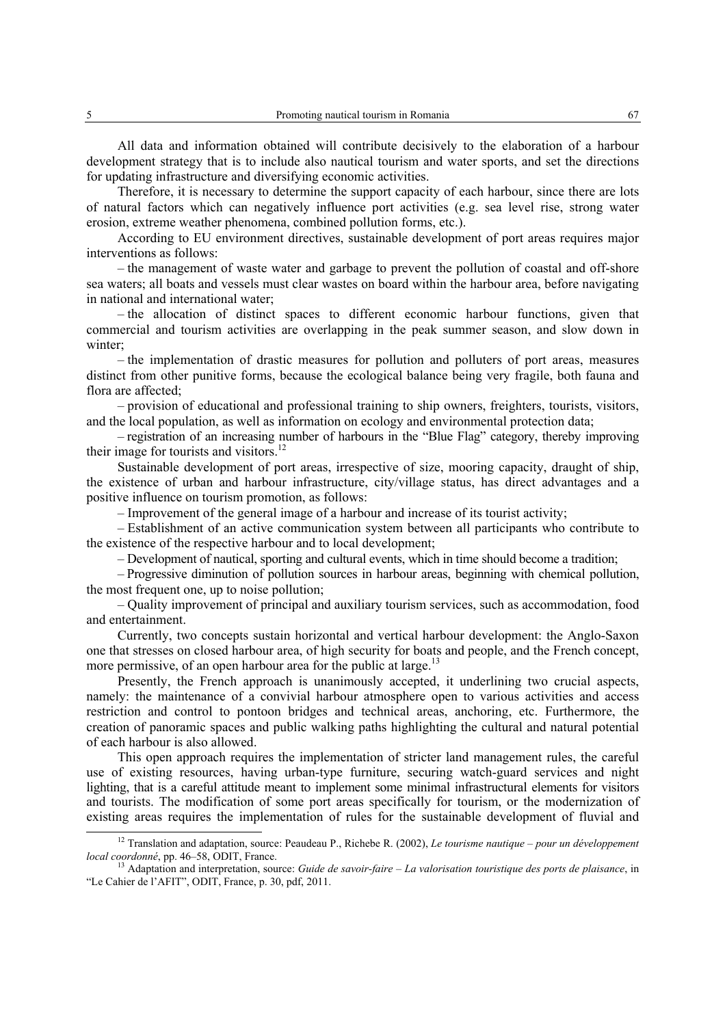All data and information obtained will contribute decisively to the elaboration of a harbour development strategy that is to include also nautical tourism and water sports, and set the directions for updating infrastructure and diversifying economic activities.

Therefore, it is necessary to determine the support capacity of each harbour, since there are lots of natural factors which can negatively influence port activities (e.g. sea level rise, strong water erosion, extreme weather phenomena, combined pollution forms, etc.).

According to EU environment directives, sustainable development of port areas requires major interventions as follows:

– the management of waste water and garbage to prevent the pollution of coastal and off-shore sea waters; all boats and vessels must clear wastes on board within the harbour area, before navigating in national and international water;

– the allocation of distinct spaces to different economic harbour functions, given that commercial and tourism activities are overlapping in the peak summer season, and slow down in winter;

– the implementation of drastic measures for pollution and polluters of port areas, measures distinct from other punitive forms, because the ecological balance being very fragile, both fauna and flora are affected;

– provision of educational and professional training to ship owners, freighters, tourists, visitors, and the local population, as well as information on ecology and environmental protection data;

– registration of an increasing number of harbours in the "Blue Flag" category, thereby improving their image for tourists and visitors.<sup>12</sup>

Sustainable development of port areas, irrespective of size, mooring capacity, draught of ship, the existence of urban and harbour infrastructure, city/village status, has direct advantages and a positive influence on tourism promotion, as follows:

– Improvement of the general image of a harbour and increase of its tourist activity;

– Establishment of an active communication system between all participants who contribute to the existence of the respective harbour and to local development;

– Development of nautical, sporting and cultural events, which in time should become a tradition;

– Progressive diminution of pollution sources in harbour areas, beginning with chemical pollution, the most frequent one, up to noise pollution;

– Quality improvement of principal and auxiliary tourism services, such as accommodation, food and entertainment.

Currently, two concepts sustain horizontal and vertical harbour development: the Anglo-Saxon one that stresses on closed harbour area, of high security for boats and people, and the French concept, more permissive, of an open harbour area for the public at large.<sup>13</sup>

Presently, the French approach is unanimously accepted, it underlining two crucial aspects, namely: the maintenance of a convivial harbour atmosphere open to various activities and access restriction and control to pontoon bridges and technical areas, anchoring, etc. Furthermore, the creation of panoramic spaces and public walking paths highlighting the cultural and natural potential of each harbour is also allowed.

This open approach requires the implementation of stricter land management rules, the careful use of existing resources, having urban-type furniture, securing watch-guard services and night lighting, that is a careful attitude meant to implement some minimal infrastructural elements for visitors and tourists. The modification of some port areas specifically for tourism, or the modernization of existing areas requires the implementation of rules for the sustainable development of fluvial and 12 Translation and adaptation, source: Peaudeau P., Richebe R. (2002), *Le tourisme nautique – pour un développement* 

*local coordonné*, pp. 46–58, ODIT, France.<br><sup>13</sup> Adaptation and interpretation, source: *Guide de savoir-faire – La valorisation touristique des ports de plaisance*, in

<sup>&</sup>quot;Le Cahier de l'AFIT", ODIT, France, p. 30, pdf, 2011.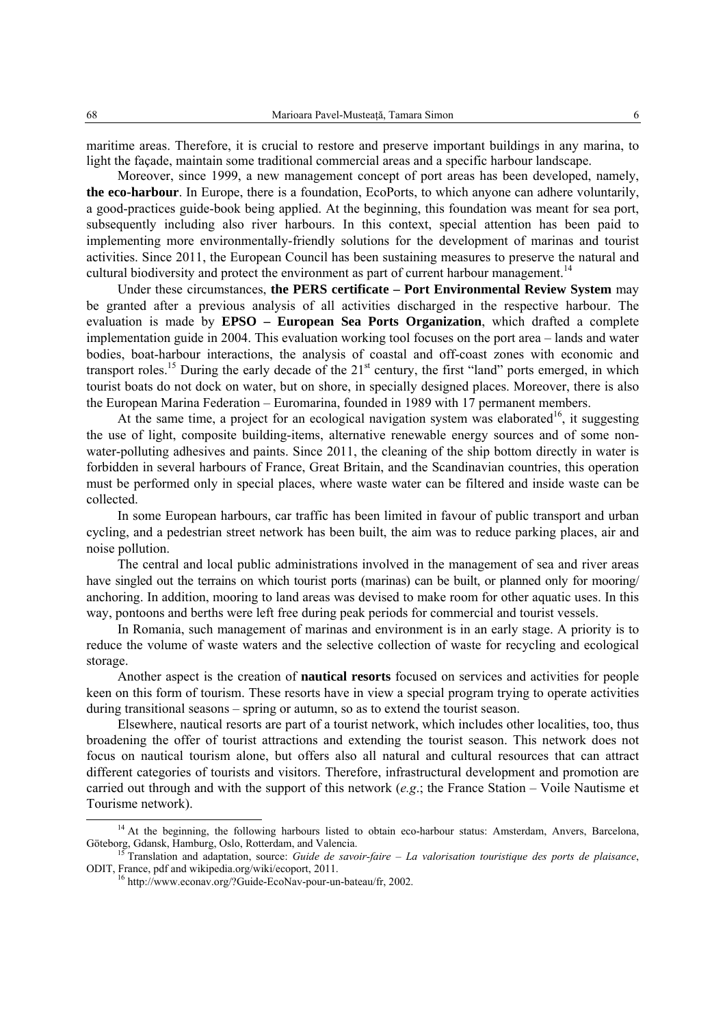maritime areas. Therefore, it is crucial to restore and preserve important buildings in any marina, to light the façade, maintain some traditional commercial areas and a specific harbour landscape.

Moreover, since 1999, a new management concept of port areas has been developed, namely, **the eco-harbour**. In Europe, there is a foundation, EcoPorts, to which anyone can adhere voluntarily, a good-practices guide-book being applied. At the beginning, this foundation was meant for sea port, subsequently including also river harbours. In this context, special attention has been paid to implementing more environmentally-friendly solutions for the development of marinas and tourist activities. Since 2011, the European Council has been sustaining measures to preserve the natural and cultural biodiversity and protect the environment as part of current harbour management.<sup>14</sup>

Under these circumstances, **the PERS certificate – Port Environmental Review System** may be granted after a previous analysis of all activities discharged in the respective harbour. The evaluation is made by **EPSO – European Sea Ports Organization**, which drafted a complete implementation guide in 2004. This evaluation working tool focuses on the port area – lands and water bodies, boat-harbour interactions, the analysis of coastal and off-coast zones with economic and transport roles.<sup>15</sup> During the early decade of the 21<sup>st</sup> century, the first "land" ports emerged, in which tourist boats do not dock on water, but on shore, in specially designed places. Moreover, there is also the European Marina Federation – Euromarina, founded in 1989 with 17 permanent members.

At the same time, a project for an ecological navigation system was elaborated<sup>16</sup>, it suggesting the use of light, composite building-items, alternative renewable energy sources and of some nonwater-polluting adhesives and paints. Since 2011, the cleaning of the ship bottom directly in water is forbidden in several harbours of France, Great Britain, and the Scandinavian countries, this operation must be performed only in special places, where waste water can be filtered and inside waste can be collected.

In some European harbours, car traffic has been limited in favour of public transport and urban cycling, and a pedestrian street network has been built, the aim was to reduce parking places, air and noise pollution.

The central and local public administrations involved in the management of sea and river areas have singled out the terrains on which tourist ports (marinas) can be built, or planned only for mooring/ anchoring. In addition, mooring to land areas was devised to make room for other aquatic uses. In this way, pontoons and berths were left free during peak periods for commercial and tourist vessels.

In Romania, such management of marinas and environment is in an early stage. A priority is to reduce the volume of waste waters and the selective collection of waste for recycling and ecological storage.

Another aspect is the creation of **nautical resorts** focused on services and activities for people keen on this form of tourism. These resorts have in view a special program trying to operate activities during transitional seasons – spring or autumn, so as to extend the tourist season.

Elsewhere, nautical resorts are part of a tourist network, which includes other localities, too, thus broadening the offer of tourist attractions and extending the tourist season. This network does not focus on nautical tourism alone, but offers also all natural and cultural resources that can attract different categories of tourists and visitors. Therefore, infrastructural development and promotion are carried out through and with the support of this network (*e.g*.; the France Station – Voile Nautisme et Tourisme network).

<sup>&</sup>lt;sup>14</sup> At the beginning, the following harbours listed to obtain eco-harbour status: Amsterdam, Anvers, Barcelona, Göteborg, Gdansk, Hamburg, Oslo, Rotterdam, and Valencia.<br><sup>15</sup> Translation and adaptation, source: *Guide de savoir-faire – La valorisation touristique des ports de plaisance*,

ODIT, France, pdf and wikipedia.org/wiki/ecoport, 2011. 16 http://www.econav.org/?Guide-EcoNav-pour-un-bateau/fr, 2002.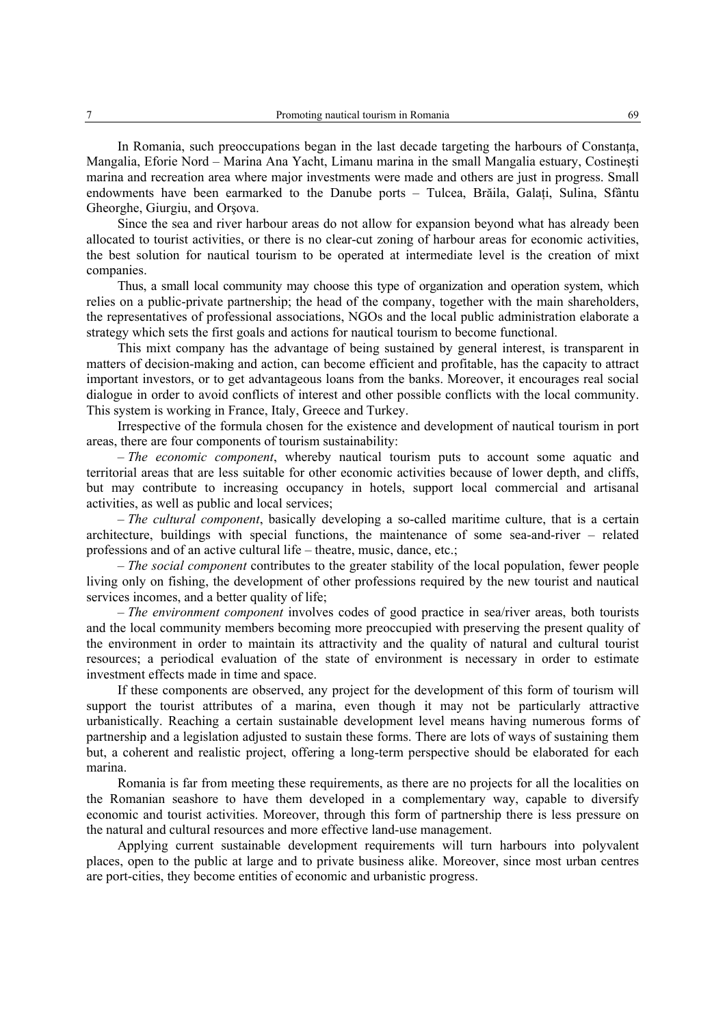In Romania, such preoccupations began in the last decade targeting the harbours of Constanta, Mangalia, Eforie Nord – Marina Ana Yacht, Limanu marina in the small Mangalia estuary, Costineşti marina and recreation area where major investments were made and others are just in progress. Small endowments have been earmarked to the Danube ports – Tulcea, Brăila, Galaţi, Sulina, Sfântu Gheorghe, Giurgiu, and Orşova.

Since the sea and river harbour areas do not allow for expansion beyond what has already been allocated to tourist activities, or there is no clear-cut zoning of harbour areas for economic activities, the best solution for nautical tourism to be operated at intermediate level is the creation of mixt companies.

Thus, a small local community may choose this type of organization and operation system, which relies on a public-private partnership; the head of the company, together with the main shareholders, the representatives of professional associations, NGOs and the local public administration elaborate a strategy which sets the first goals and actions for nautical tourism to become functional.

This mixt company has the advantage of being sustained by general interest, is transparent in matters of decision-making and action, can become efficient and profitable, has the capacity to attract important investors, or to get advantageous loans from the banks. Moreover, it encourages real social dialogue in order to avoid conflicts of interest and other possible conflicts with the local community. This system is working in France, Italy, Greece and Turkey.

Irrespective of the formula chosen for the existence and development of nautical tourism in port areas, there are four components of tourism sustainability:

– *The economic component*, whereby nautical tourism puts to account some aquatic and territorial areas that are less suitable for other economic activities because of lower depth, and cliffs, but may contribute to increasing occupancy in hotels, support local commercial and artisanal activities, as well as public and local services;

– *The cultural component*, basically developing a so-called maritime culture, that is a certain architecture, buildings with special functions, the maintenance of some sea-and-river – related professions and of an active cultural life – theatre, music, dance, etc.;

– *The social component* contributes to the greater stability of the local population, fewer people living only on fishing, the development of other professions required by the new tourist and nautical services incomes, and a better quality of life;

– *The environment component* involves codes of good practice in sea/river areas, both tourists and the local community members becoming more preoccupied with preserving the present quality of the environment in order to maintain its attractivity and the quality of natural and cultural tourist resources; a periodical evaluation of the state of environment is necessary in order to estimate investment effects made in time and space.

If these components are observed, any project for the development of this form of tourism will support the tourist attributes of a marina, even though it may not be particularly attractive urbanistically. Reaching a certain sustainable development level means having numerous forms of partnership and a legislation adjusted to sustain these forms. There are lots of ways of sustaining them but, a coherent and realistic project, offering a long-term perspective should be elaborated for each marina.

Romania is far from meeting these requirements, as there are no projects for all the localities on the Romanian seashore to have them developed in a complementary way, capable to diversify economic and tourist activities. Moreover, through this form of partnership there is less pressure on the natural and cultural resources and more effective land-use management.

Applying current sustainable development requirements will turn harbours into polyvalent places, open to the public at large and to private business alike. Moreover, since most urban centres are port-cities, they become entities of economic and urbanistic progress.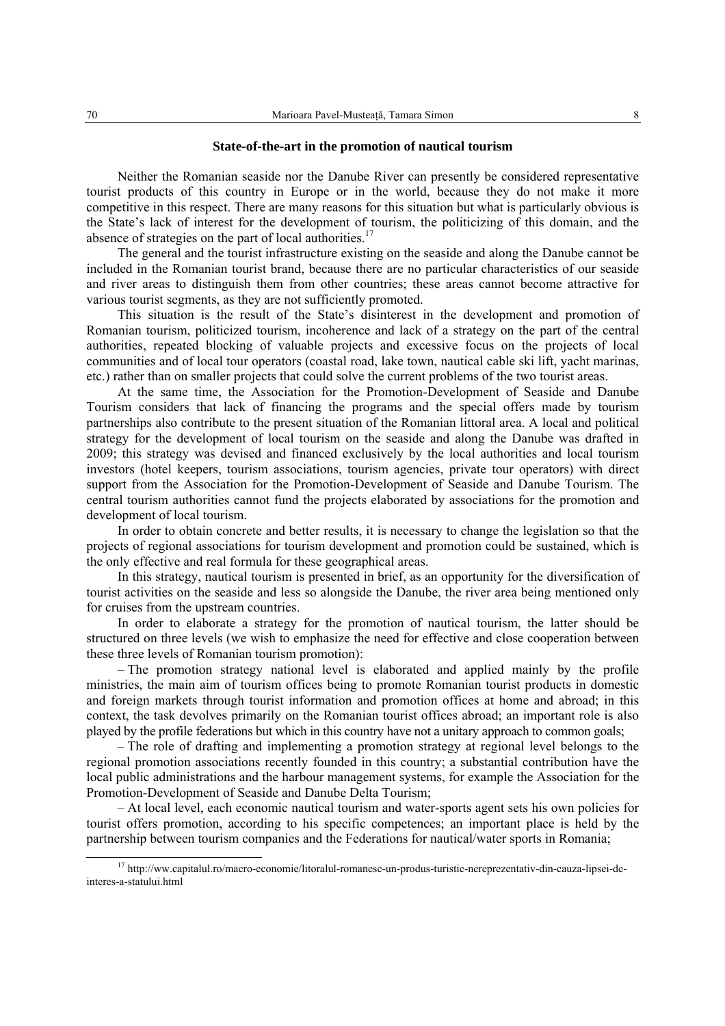#### **State-of-the-art in the promotion of nautical tourism**

Neither the Romanian seaside nor the Danube River can presently be considered representative tourist products of this country in Europe or in the world, because they do not make it more competitive in this respect. There are many reasons for this situation but what is particularly obvious is the State's lack of interest for the development of tourism, the politicizing of this domain, and the absence of strategies on the part of local authorities.<sup>17</sup>

The general and the tourist infrastructure existing on the seaside and along the Danube cannot be included in the Romanian tourist brand, because there are no particular characteristics of our seaside and river areas to distinguish them from other countries; these areas cannot become attractive for various tourist segments, as they are not sufficiently promoted.

This situation is the result of the State's disinterest in the development and promotion of Romanian tourism, politicized tourism, incoherence and lack of a strategy on the part of the central authorities, repeated blocking of valuable projects and excessive focus on the projects of local communities and of local tour operators (coastal road, lake town, nautical cable ski lift, yacht marinas, etc.) rather than on smaller projects that could solve the current problems of the two tourist areas.

At the same time, the Association for the Promotion-Development of Seaside and Danube Tourism considers that lack of financing the programs and the special offers made by tourism partnerships also contribute to the present situation of the Romanian littoral area. A local and political strategy for the development of local tourism on the seaside and along the Danube was drafted in 2009; this strategy was devised and financed exclusively by the local authorities and local tourism investors (hotel keepers, tourism associations, tourism agencies, private tour operators) with direct support from the Association for the Promotion-Development of Seaside and Danube Tourism. The central tourism authorities cannot fund the projects elaborated by associations for the promotion and development of local tourism.

In order to obtain concrete and better results, it is necessary to change the legislation so that the projects of regional associations for tourism development and promotion could be sustained, which is the only effective and real formula for these geographical areas.

In this strategy, nautical tourism is presented in brief, as an opportunity for the diversification of tourist activities on the seaside and less so alongside the Danube, the river area being mentioned only for cruises from the upstream countries.

In order to elaborate a strategy for the promotion of nautical tourism, the latter should be structured on three levels (we wish to emphasize the need for effective and close cooperation between these three levels of Romanian tourism promotion):

– The promotion strategy national level is elaborated and applied mainly by the profile ministries, the main aim of tourism offices being to promote Romanian tourist products in domestic and foreign markets through tourist information and promotion offices at home and abroad; in this context, the task devolves primarily on the Romanian tourist offices abroad; an important role is also played by the profile federations but which in this country have not a unitary approach to common goals;

– The role of drafting and implementing a promotion strategy at regional level belongs to the regional promotion associations recently founded in this country; a substantial contribution have the local public administrations and the harbour management systems, for example the Association for the Promotion-Development of Seaside and Danube Delta Tourism;

– At local level, each economic nautical tourism and water-sports agent sets his own policies for tourist offers promotion, according to his specific competences; an important place is held by the partnership between tourism companies and the Federations for nautical/water sports in Romania;

<sup>&</sup>lt;sup>17</sup> http://ww.capitalul.ro/macro-economie/litoralul-romanesc-un-produs-turistic-nereprezentativ-din-cauza-lipsei-deinteres-a-statului.html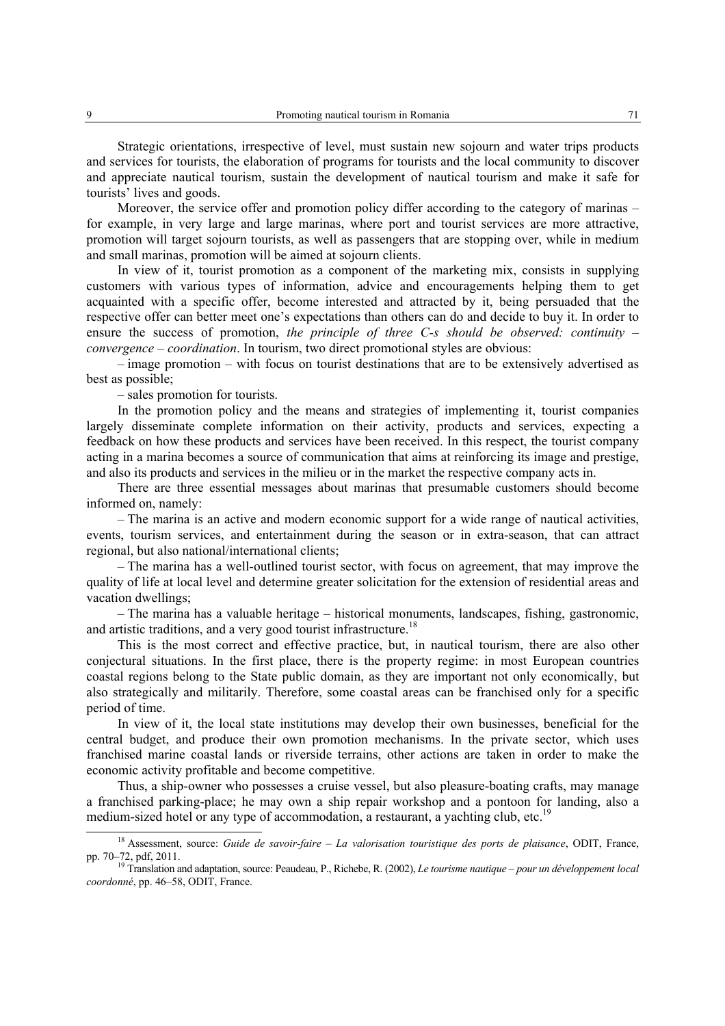Strategic orientations, irrespective of level, must sustain new sojourn and water trips products and services for tourists, the elaboration of programs for tourists and the local community to discover and appreciate nautical tourism, sustain the development of nautical tourism and make it safe for tourists' lives and goods.

Moreover, the service offer and promotion policy differ according to the category of marinas – for example, in very large and large marinas, where port and tourist services are more attractive, promotion will target sojourn tourists, as well as passengers that are stopping over, while in medium and small marinas, promotion will be aimed at sojourn clients.

In view of it, tourist promotion as a component of the marketing mix, consists in supplying customers with various types of information, advice and encouragements helping them to get acquainted with a specific offer, become interested and attracted by it, being persuaded that the respective offer can better meet one's expectations than others can do and decide to buy it. In order to ensure the success of promotion, *the principle of three C-s should be observed: continuity – convergence – coordination*. In tourism, two direct promotional styles are obvious:

– image promotion – with focus on tourist destinations that are to be extensively advertised as best as possible;

– sales promotion for tourists.

In the promotion policy and the means and strategies of implementing it, tourist companies largely disseminate complete information on their activity, products and services, expecting a feedback on how these products and services have been received. In this respect, the tourist company acting in a marina becomes a source of communication that aims at reinforcing its image and prestige, and also its products and services in the milieu or in the market the respective company acts in.

There are three essential messages about marinas that presumable customers should become informed on, namely:

– The marina is an active and modern economic support for a wide range of nautical activities, events, tourism services, and entertainment during the season or in extra-season, that can attract regional, but also national/international clients;

– The marina has a well-outlined tourist sector, with focus on agreement, that may improve the quality of life at local level and determine greater solicitation for the extension of residential areas and vacation dwellings;

– The marina has a valuable heritage – historical monuments, landscapes, fishing, gastronomic, and artistic traditions, and a very good tourist infrastructure.<sup>18</sup>

This is the most correct and effective practice, but, in nautical tourism, there are also other conjectural situations. In the first place, there is the property regime: in most European countries coastal regions belong to the State public domain, as they are important not only economically, but also strategically and militarily. Therefore, some coastal areas can be franchised only for a specific period of time.

In view of it, the local state institutions may develop their own businesses, beneficial for the central budget, and produce their own promotion mechanisms. In the private sector, which uses franchised marine coastal lands or riverside terrains, other actions are taken in order to make the economic activity profitable and become competitive.

Thus, a ship-owner who possesses a cruise vessel, but also pleasure-boating crafts, may manage a franchised parking-place; he may own a ship repair workshop and a pontoon for landing, also a medium-sized hotel or any type of accommodation, a restaurant, a yachting club, etc.<sup>19</sup>

 <sup>18</sup> Assessment, source: *Guide de savoir-faire – La valorisation touristique des ports de plaisance*, ODIT, France, pp. 70–72, pdf, 2011.<br><sup>19</sup> Translation and adaptation, source: Peaudeau, P., Richebe, R. (2002), *Le tourisme nautique – pour un développement local* 

*coordonné*, pp. 46–58, ODIT, France.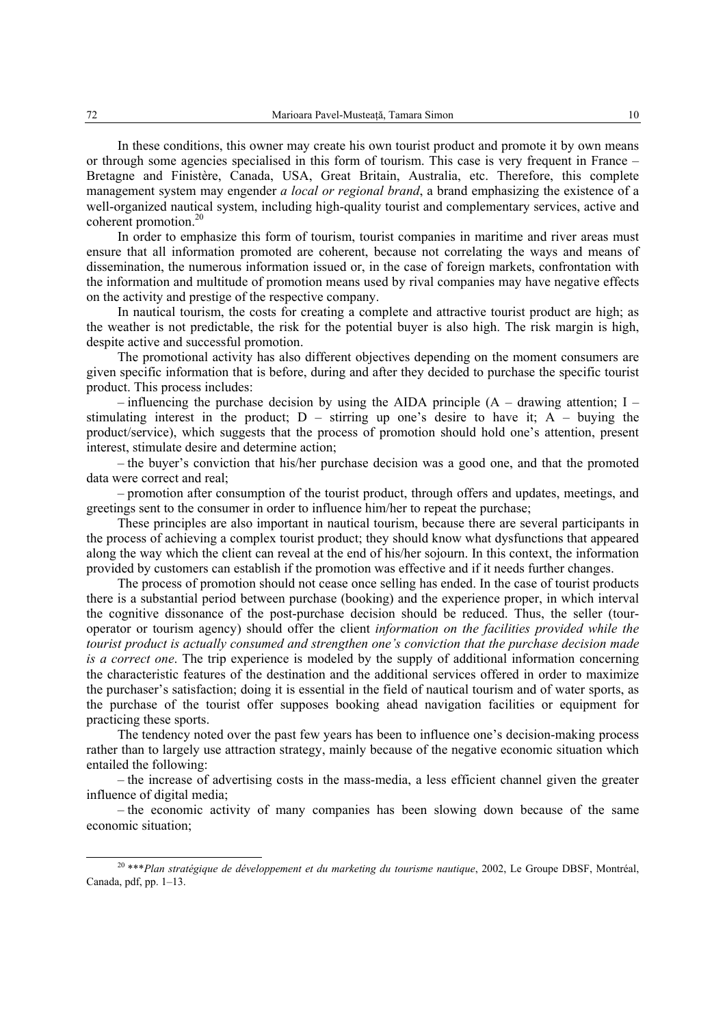In these conditions, this owner may create his own tourist product and promote it by own means or through some agencies specialised in this form of tourism. This case is very frequent in France – Bretagne and Finistère, Canada, USA, Great Britain, Australia, etc. Therefore, this complete management system may engender *a local or regional brand*, a brand emphasizing the existence of a well-organized nautical system, including high-quality tourist and complementary services, active and coherent promotion.20

In order to emphasize this form of tourism, tourist companies in maritime and river areas must ensure that all information promoted are coherent, because not correlating the ways and means of dissemination, the numerous information issued or, in the case of foreign markets, confrontation with the information and multitude of promotion means used by rival companies may have negative effects on the activity and prestige of the respective company.

In nautical tourism, the costs for creating a complete and attractive tourist product are high; as the weather is not predictable, the risk for the potential buyer is also high. The risk margin is high, despite active and successful promotion.

The promotional activity has also different objectives depending on the moment consumers are given specific information that is before, during and after they decided to purchase the specific tourist product. This process includes:

 $-$  influencing the purchase decision by using the AIDA principle (A – drawing attention; I – stimulating interest in the product;  $D -$  stirring up one's desire to have it;  $A -$  buying the product/service), which suggests that the process of promotion should hold one's attention, present interest, stimulate desire and determine action;

– the buyer's conviction that his/her purchase decision was a good one, and that the promoted data were correct and real;

– promotion after consumption of the tourist product, through offers and updates, meetings, and greetings sent to the consumer in order to influence him/her to repeat the purchase;

These principles are also important in nautical tourism, because there are several participants in the process of achieving a complex tourist product; they should know what dysfunctions that appeared along the way which the client can reveal at the end of his/her sojourn. In this context, the information provided by customers can establish if the promotion was effective and if it needs further changes.

The process of promotion should not cease once selling has ended. In the case of tourist products there is a substantial period between purchase (booking) and the experience proper, in which interval the cognitive dissonance of the post-purchase decision should be reduced. Thus, the seller (touroperator or tourism agency) should offer the client *information on the facilities provided while the tourist product is actually consumed and strengthen one's conviction that the purchase decision made is a correct one*. The trip experience is modeled by the supply of additional information concerning the characteristic features of the destination and the additional services offered in order to maximize the purchaser's satisfaction; doing it is essential in the field of nautical tourism and of water sports, as the purchase of the tourist offer supposes booking ahead navigation facilities or equipment for practicing these sports.

The tendency noted over the past few years has been to influence one's decision-making process rather than to largely use attraction strategy, mainly because of the negative economic situation which entailed the following:

– the increase of advertising costs in the mass-media, a less efficient channel given the greater influence of digital media;

– the economic activity of many companies has been slowing down because of the same economic situation;

 <sup>20 \*\*\*</sup>*Plan stratégique de développement et du marketing du tourisme nautique*, 2002, Le Groupe DBSF, Montréal, Canada, pdf, pp. 1–13.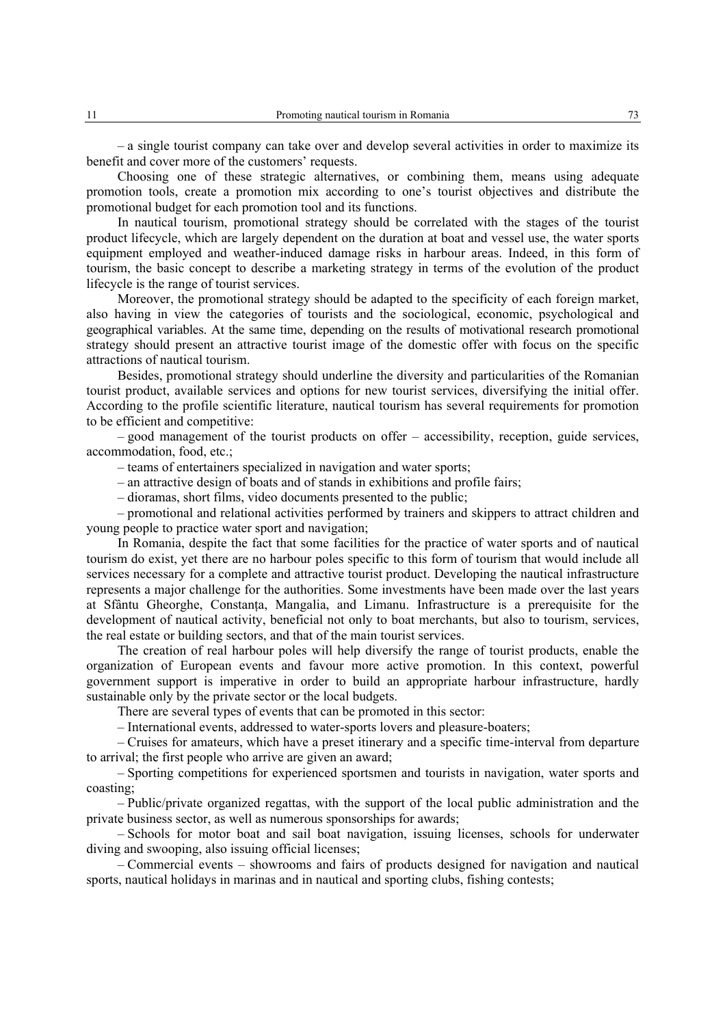– a single tourist company can take over and develop several activities in order to maximize its benefit and cover more of the customers' requests.

Choosing one of these strategic alternatives, or combining them, means using adequate promotion tools, create a promotion mix according to one's tourist objectives and distribute the promotional budget for each promotion tool and its functions.

In nautical tourism, promotional strategy should be correlated with the stages of the tourist product lifecycle, which are largely dependent on the duration at boat and vessel use, the water sports equipment employed and weather-induced damage risks in harbour areas. Indeed, in this form of tourism, the basic concept to describe a marketing strategy in terms of the evolution of the product lifecycle is the range of tourist services.

Moreover, the promotional strategy should be adapted to the specificity of each foreign market, also having in view the categories of tourists and the sociological, economic, psychological and geographical variables. At the same time, depending on the results of motivational research promotional strategy should present an attractive tourist image of the domestic offer with focus on the specific attractions of nautical tourism.

Besides, promotional strategy should underline the diversity and particularities of the Romanian tourist product, available services and options for new tourist services, diversifying the initial offer. According to the profile scientific literature, nautical tourism has several requirements for promotion to be efficient and competitive:

– good management of the tourist products on offer – accessibility, reception, guide services, accommodation, food, etc.;

– teams of entertainers specialized in navigation and water sports;

– an attractive design of boats and of stands in exhibitions and profile fairs;

– dioramas, short films, video documents presented to the public;

– promotional and relational activities performed by trainers and skippers to attract children and young people to practice water sport and navigation;

In Romania, despite the fact that some facilities for the practice of water sports and of nautical tourism do exist, yet there are no harbour poles specific to this form of tourism that would include all services necessary for a complete and attractive tourist product. Developing the nautical infrastructure represents a major challenge for the authorities. Some investments have been made over the last years at Sfântu Gheorghe, Constanţa, Mangalia, and Limanu. Infrastructure is a prerequisite for the development of nautical activity, beneficial not only to boat merchants, but also to tourism, services, the real estate or building sectors, and that of the main tourist services.

The creation of real harbour poles will help diversify the range of tourist products, enable the organization of European events and favour more active promotion. In this context, powerful government support is imperative in order to build an appropriate harbour infrastructure, hardly sustainable only by the private sector or the local budgets.

There are several types of events that can be promoted in this sector:

– International events, addressed to water-sports lovers and pleasure-boaters;

– Cruises for amateurs, which have a preset itinerary and a specific time-interval from departure to arrival; the first people who arrive are given an award;

– Sporting competitions for experienced sportsmen and tourists in navigation, water sports and coasting;

– Public/private organized regattas, with the support of the local public administration and the private business sector, as well as numerous sponsorships for awards;

– Schools for motor boat and sail boat navigation, issuing licenses, schools for underwater diving and swooping, also issuing official licenses;

– Commercial events – showrooms and fairs of products designed for navigation and nautical sports, nautical holidays in marinas and in nautical and sporting clubs, fishing contests;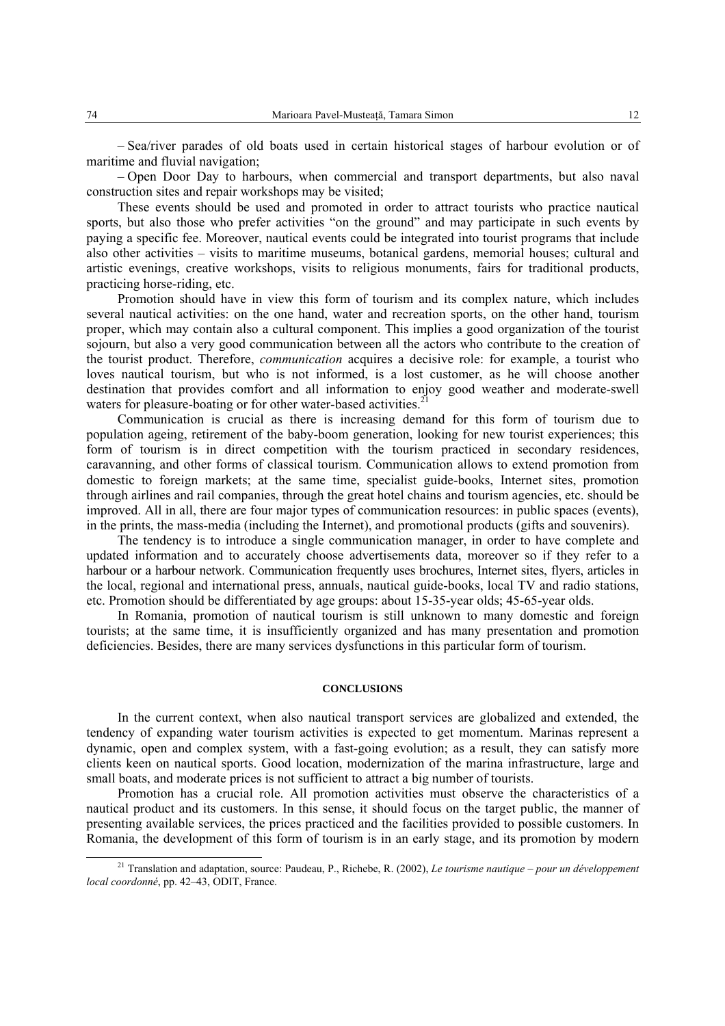– Sea/river parades of old boats used in certain historical stages of harbour evolution or of maritime and fluvial navigation;

– Open Door Day to harbours, when commercial and transport departments, but also naval construction sites and repair workshops may be visited;

These events should be used and promoted in order to attract tourists who practice nautical sports, but also those who prefer activities "on the ground" and may participate in such events by paying a specific fee. Moreover, nautical events could be integrated into tourist programs that include also other activities – visits to maritime museums, botanical gardens, memorial houses; cultural and artistic evenings, creative workshops, visits to religious monuments, fairs for traditional products, practicing horse-riding, etc.

Promotion should have in view this form of tourism and its complex nature, which includes several nautical activities: on the one hand, water and recreation sports, on the other hand, tourism proper, which may contain also a cultural component. This implies a good organization of the tourist sojourn, but also a very good communication between all the actors who contribute to the creation of the tourist product. Therefore, *communication* acquires a decisive role: for example, a tourist who loves nautical tourism, but who is not informed, is a lost customer, as he will choose another destination that provides comfort and all information to enjoy good weather and moderate-swell waters for pleasure-boating or for other water-based activities.<sup>21</sup>

Communication is crucial as there is increasing demand for this form of tourism due to population ageing, retirement of the baby-boom generation, looking for new tourist experiences; this form of tourism is in direct competition with the tourism practiced in secondary residences, caravanning, and other forms of classical tourism. Communication allows to extend promotion from domestic to foreign markets; at the same time, specialist guide-books, Internet sites, promotion through airlines and rail companies, through the great hotel chains and tourism agencies, etc. should be improved. All in all, there are four major types of communication resources: in public spaces (events), in the prints, the mass-media (including the Internet), and promotional products (gifts and souvenirs).

The tendency is to introduce a single communication manager, in order to have complete and updated information and to accurately choose advertisements data, moreover so if they refer to a harbour or a harbour network. Communication frequently uses brochures, Internet sites, flyers, articles in the local, regional and international press, annuals, nautical guide-books, local TV and radio stations, etc. Promotion should be differentiated by age groups: about 15-35-year olds; 45-65-year olds.

In Romania, promotion of nautical tourism is still unknown to many domestic and foreign tourists; at the same time, it is insufficiently organized and has many presentation and promotion deficiencies. Besides, there are many services dysfunctions in this particular form of tourism.

## **CONCLUSIONS**

In the current context, when also nautical transport services are globalized and extended, the tendency of expanding water tourism activities is expected to get momentum. Marinas represent a dynamic, open and complex system, with a fast-going evolution; as a result, they can satisfy more clients keen on nautical sports. Good location, modernization of the marina infrastructure, large and small boats, and moderate prices is not sufficient to attract a big number of tourists.

Promotion has a crucial role. All promotion activities must observe the characteristics of a nautical product and its customers. In this sense, it should focus on the target public, the manner of presenting available services, the prices practiced and the facilities provided to possible customers. In Romania, the development of this form of tourism is in an early stage, and its promotion by modern

 <sup>21</sup> Translation and adaptation, source: Paudeau, P., Richebe, R. (2002), *Le tourisme nautique – pour un développement local coordonné*, pp. 42–43, ODIT, France.